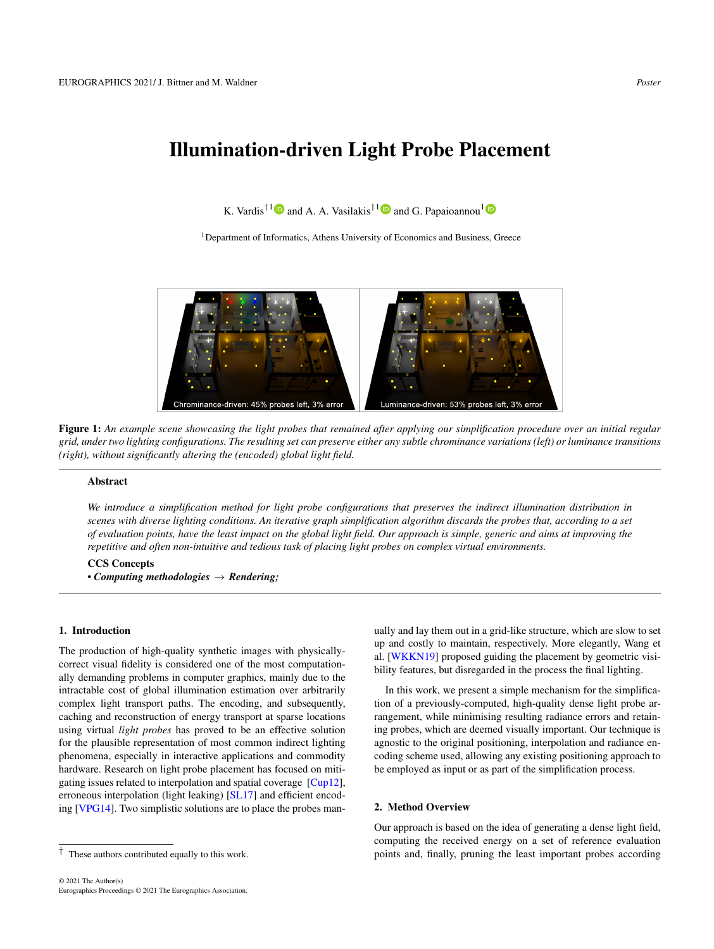# <span id="page-0-1"></span>Illumination-driven Light Probe Placement

K. Vardis<sup>†[1](https://orcid.org/0000-0003-4774-0746)</sup> $\bullet$  and A. A. Vasilakis<sup>†1</sup> $\bullet$  and G. Papaioannou<sup>1</sup>

<sup>1</sup>Department of Informatics, Athens University of Economics and Business, Greece



Figure 1: *An example scene showcasing the light probes that remained after applying our simplification procedure over an initial regular grid, under two lighting configurations. The resulting set can preserve either any subtle chrominance variations (left) or luminance transitions (right), without significantly altering the (encoded) global light field.*

## <span id="page-0-0"></span>Abstract

*We introduce a simplification method for light probe configurations that preserves the indirect illumination distribution in scenes with diverse lighting conditions. An iterative graph simplification algorithm discards the probes that, according to a set of evaluation points, have the least impact on the global light field. Our approach is simple, generic and aims at improving the repetitive and often non-intuitive and tedious task of placing light probes on complex virtual environments.*

#### CCS Concepts

*• Computing methodologies* → *Rendering;*

#### 1. Introduction

The production of high-quality synthetic images with physicallycorrect visual fidelity is considered one of the most computationally demanding problems in computer graphics, mainly due to the intractable cost of global illumination estimation over arbitrarily complex light transport paths. The encoding, and subsequently, caching and reconstruction of energy transport at sparse locations using virtual *light probes* has proved to be an effective solution for the plausible representation of most common indirect lighting phenomena, especially in interactive applications and commodity hardware. Research on light probe placement has focused on mitigating issues related to interpolation and spatial coverage [\[Cup12\]](#page-1-0), erroneous interpolation (light leaking) [\[SL17\]](#page-1-1) and efficient encoding [\[VPG14\]](#page-1-2). Two simplistic solutions are to place the probes manually and lay them out in a grid-like structure, which are slow to set up and costly to maintain, respectively. More elegantly, Wang et al. [\[WKKN19\]](#page-1-3) proposed guiding the placement by geometric visibility features, but disregarded in the process the final lighting.

In this work, we present a simple mechanism for the simplification of a previously-computed, high-quality dense light probe arrangement, while minimising resulting radiance errors and retaining probes, which are deemed visually important. Our technique is agnostic to the original positioning, interpolation and radiance encoding scheme used, allowing any existing positioning approach to be employed as input or as part of the simplification process.

#### 2. Method Overview

Our approach is based on the idea of generating a dense light field, computing the received energy on a set of reference evaluation points and, finally, pruning the least important probes according

<sup>†</sup> These authors contributed equally to this work.